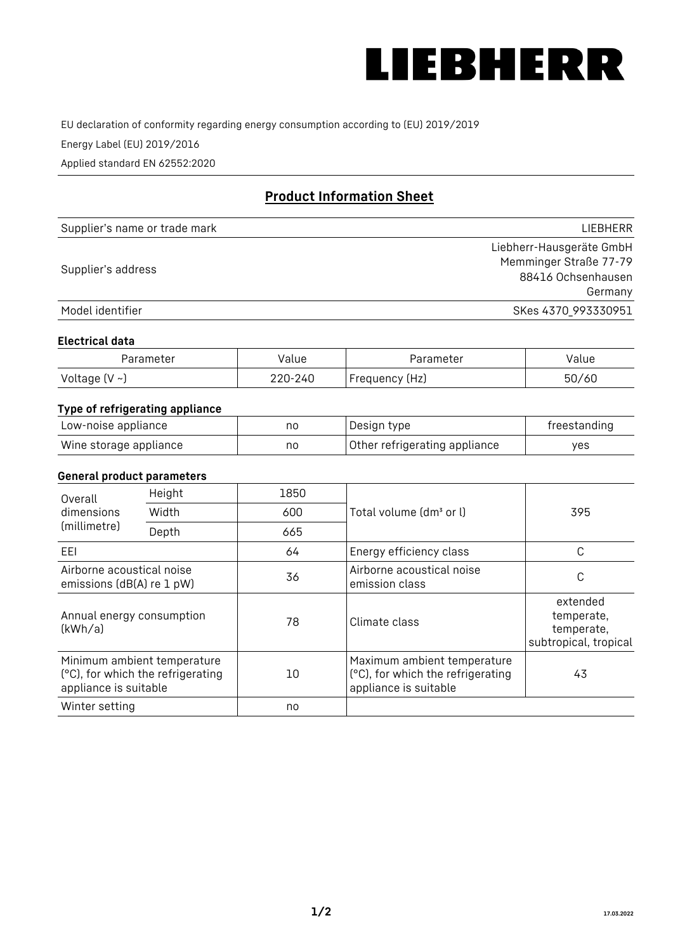

EU declaration of conformity regarding energy consumption according to (EU) 2019/2019

Energy Label (EU) 2019/2016

Applied standard EN 62552:2020

# **Product Information Sheet**

| Supplier's name or trade mark | <b>LIFBHFRR</b>          |
|-------------------------------|--------------------------|
|                               | Liebherr-Hausgeräte GmbH |
| Supplier's address            | Memminger Straße 77-79   |
|                               | 88416 Ochsenhausen       |
|                               | Germany                  |
| Model identifier              | SKes 4370 993330951      |

#### **Electrical data**

| Parameter          | Value   | Parameter       | Value |
|--------------------|---------|-----------------|-------|
| Voltage $(V \sim)$ | 220-240 | 'Frequency (Hz) | 50/60 |

# **Type of refrigerating appliance**

| Low-noise appliance    | nc | Design type                   | freestanding |
|------------------------|----|-------------------------------|--------------|
| Wine storage appliance | nc | Other refrigerating appliance | ves          |

### **General product parameters**

| Height<br>Overall                                      |                                                                  | 1850 |                                                                                           |                                                               |
|--------------------------------------------------------|------------------------------------------------------------------|------|-------------------------------------------------------------------------------------------|---------------------------------------------------------------|
| dimensions<br>(millimetre)                             | Width                                                            | 600  | Total volume (dm <sup>3</sup> or l)                                                       | 395                                                           |
|                                                        | Depth                                                            | 665  |                                                                                           |                                                               |
| EEL                                                    |                                                                  | 64   | Energy efficiency class                                                                   | C                                                             |
| Airborne acoustical noise<br>emissions (dB(A) re 1 pW) |                                                                  | 36   | Airborne acoustical noise<br>emission class                                               | С                                                             |
| Annual energy consumption<br>(kWh/a)                   |                                                                  | 78   | Climate class                                                                             | extended<br>temperate,<br>temperate,<br>subtropical, tropical |
| appliance is suitable                                  | Minimum ambient temperature<br>(°C), for which the refrigerating | 10   | Maximum ambient temperature<br>(°C), for which the refrigerating<br>appliance is suitable | 43                                                            |
| Winter setting                                         |                                                                  | no   |                                                                                           |                                                               |